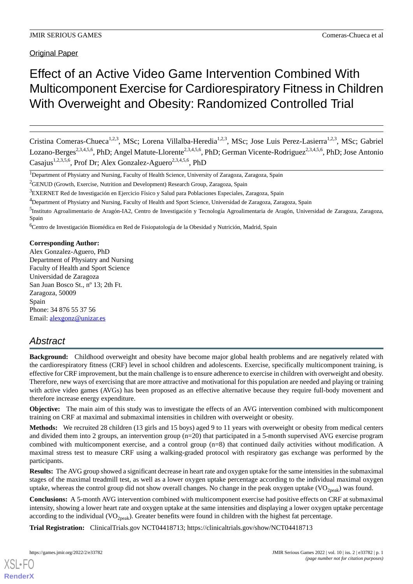**Original Paper** 

# Effect of an Active Video Game Intervention Combined With Multicomponent Exercise for Cardiorespiratory Fitness in Children With Overweight and Obesity: Randomized Controlled Trial

Cristina Comeras-Chueca<sup>1,2,3</sup>, MSc; Lorena Villalba-Heredia<sup>1,2,3</sup>, MSc; Jose Luis Perez-Lasierra<sup>1,2,3</sup>, MSc; Gabriel Lozano-Berges<sup>2,3,4,5,6</sup>, PhD; Angel Matute-Llorente<sup>2,3,4,5,6</sup>, PhD; German Vicente-Rodriguez<sup>2,3,4,5,6</sup>, PhD; Jose Antonio Casajus<sup>1,2,3,5,6</sup>, Prof Dr; Alex Gonzalez-Aguero<sup>2,3,4,5,6</sup>, PhD

<sup>6</sup>Centro de Investigación Biomédica en Red de Fisiopatología de la Obesidad y Nutrición, Madrid, Spain

### **Corresponding Author:**

Alex Gonzalez-Aguero, PhD Department of Physiatry and Nursing Faculty of Health and Sport Science Universidad de Zaragoza San Juan Bosco St., nº 13; 2th Ft. Zaragoza, 50009 Spain Phone: 34 876 55 37 56 Email: [alexgonz@unizar.es](mailto:alexgonz@unizar.es)

# *Abstract*

**Background:** Childhood overweight and obesity have become major global health problems and are negatively related with the cardiorespiratory fitness (CRF) level in school children and adolescents. Exercise, specifically multicomponent training, is effective for CRF improvement, but the main challenge is to ensure adherence to exercise in children with overweight and obesity. Therefore, new ways of exercising that are more attractive and motivational for this population are needed and playing or training with active video games (AVGs) has been proposed as an effective alternative because they require full-body movement and therefore increase energy expenditure.

**Objective:** The main aim of this study was to investigate the effects of an AVG intervention combined with multicomponent training on CRF at maximal and submaximal intensities in children with overweight or obesity.

**Methods:** We recruited 28 children (13 girls and 15 boys) aged 9 to 11 years with overweight or obesity from medical centers and divided them into 2 groups, an intervention group (n=20) that participated in a 5-month supervised AVG exercise program combined with multicomponent exercise, and a control group (n=8) that continued daily activities without modification. A maximal stress test to measure CRF using a walking-graded protocol with respiratory gas exchange was performed by the participants.

**Results:** The AVG group showed a significant decrease in heart rate and oxygen uptake for the same intensities in the submaximal stages of the maximal treadmill test, as well as a lower oxygen uptake percentage according to the individual maximal oxygen uptake, whereas the control group did not show overall changes. No change in the peak oxygen uptake  $(VO<sub>2peak</sub>)$  was found.

**Conclusions:** A 5-month AVG intervention combined with multicomponent exercise had positive effects on CRF at submaximal intensity, showing a lower heart rate and oxygen uptake at the same intensities and displaying a lower oxygen uptake percentage according to the individual  $(VO_{2peak})$ . Greater benefits were found in children with the highest fat percentage.

**Trial Registration:** ClinicalTrials.gov NCT04418713; https://clinicaltrials.gov/show/NCT04418713

<sup>&</sup>lt;sup>1</sup>Department of Physiatry and Nursing, Faculty of Health Science, University of Zaragoza, Zaragoza, Spain

<sup>&</sup>lt;sup>2</sup>GENUD (Growth, Exercise, Nutrition and Development) Research Group, Zaragoza, Spain

<sup>3</sup>EXERNET Red de Investigación en Ejercicio Físico y Salud para Poblaciones Especiales, Zaragoza, Spain

<sup>4</sup>Department of Physiatry and Nursing, Faculty of Health and Sport Science, Universidad de Zaragoza, Zaragoza, Spain

<sup>5&</sup>lt;br>Instituto Agroalimentario de Aragón-IA2, Centro de Investigación y Tecnología Agroalimentaria de Aragón, Universidad de Zaragoza, Zaragoza, Spain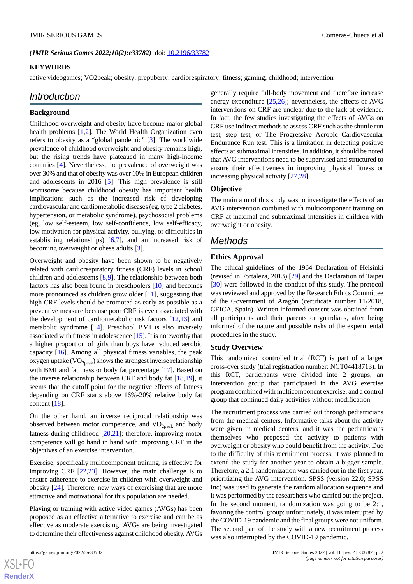*(JMIR Serious Games 2022;10(2):e33782)* doi: [10.2196/33782](http://dx.doi.org/10.2196/33782)

#### **KEYWORDS**

active videogames; VO2peak; obesity; prepuberty; cardiorespiratory; fitness; gaming; childhood; intervention

# *Introduction*

### **Background**

Childhood overweight and obesity have become major global health problems [[1,](#page-10-0)[2](#page-10-1)]. The World Health Organization even refers to obesity as a "global pandemic" [[3](#page-10-2)]. The worldwide prevalence of childhood overweight and obesity remains high, but the rising trends have plateaued in many high-income countries [[4](#page-10-3)]. Nevertheless, the prevalence of overweight was over 30% and that of obesity was over 10% in European children and adolescents in 2016 [[5\]](#page-10-4). This high prevalence is still worrisome because childhood obesity has important health implications such as the increased risk of developing cardiovascular and cardiometabolic diseases (eg, type 2 diabetes, hypertension, or metabolic syndrome), psychosocial problems (eg, low self-esteem, low self-confidence, low self-efficacy, low motivation for physical activity, bullying, or difficulties in establishing relationships) [[6,](#page-10-5)[7](#page-10-6)], and an increased risk of becoming overweight or obese adults [[3](#page-10-2)].

Overweight and obesity have been shown to be negatively related with cardiorespiratory fitness (CRF) levels in school children and adolescents [[8](#page-10-7)[,9](#page-10-8)]. The relationship between both factors has also been found in preschoolers [\[10](#page-10-9)] and becomes more pronounced as children grow older [\[11](#page-10-10)], suggesting that high CRF levels should be promoted as early as possible as a preventive measure because poor CRF is even associated with the development of cardiometabolic risk factors [[12,](#page-10-11)[13\]](#page-10-12) and metabolic syndrome [\[14](#page-10-13)]. Preschool BMI is also inversely associated with fitness in adolescence [[15\]](#page-10-14). It is noteworthy that a higher proportion of girls than boys have reduced aerobic capacity [[16\]](#page-11-0). Among all physical fitness variables, the peak oxygen uptake  $(\rm VO_{2peak})$  shows the strongest inverse relationship with BMI and fat mass or body fat percentage [[17\]](#page-11-1). Based on the inverse relationship between CRF and body fat [[18,](#page-11-2)[19](#page-11-3)], it seems that the cutoff point for the negative effects of fatness depending on CRF starts above 16%-20% relative body fat content [[18\]](#page-11-2).

On the other hand, an inverse reciprocal relationship was observed between motor competence, and  $VO<sub>2peak</sub>$  and body fatness during childhood [\[20](#page-11-4),[21\]](#page-11-5); therefore, improving motor competence will go hand in hand with improving CRF in the objectives of an exercise intervention.

Exercise, specifically multicomponent training, is effective for improving CRF [[22](#page-11-6)[,23](#page-11-7)]. However, the main challenge is to ensure adherence to exercise in children with overweight and obesity [[24\]](#page-11-8). Therefore, new ways of exercising that are more attractive and motivational for this population are needed.

Playing or training with active video games (AVGs) has been proposed as an effective alternative to exercise and can be as effective as moderate exercising; AVGs are being investigated to determine their effectiveness against childhood obesity. AVGs

[XSL](http://www.w3.org/Style/XSL)•FO **[RenderX](http://www.renderx.com/)**

generally require full-body movement and therefore increase energy expenditure [\[25](#page-11-9)[,26](#page-11-10)]; nevertheless, the effects of AVG interventions on CRF are unclear due to the lack of evidence. In fact, the few studies investigating the effects of AVGs on CRF use indirect methods to assess CRF such as the shuttle run test, step test, or The Progressive Aerobic Cardiovascular Endurance Run test. This is a limitation in detecting positive effects at submaximal intensities. In addition, it should be noted that AVG interventions need to be supervised and structured to ensure their effectiveness in improving physical fitness or increasing physical activity [[27,](#page-11-11)[28](#page-11-12)].

#### **Objective**

The main aim of this study was to investigate the effects of an AVG intervention combined with multicomponent training on CRF at maximal and submaximal intensities in children with overweight or obesity.

# *Methods*

### **Ethics Approval**

The ethical guidelines of the 1964 Declaration of Helsinki (revised in Fortaleza, 2013) [\[29](#page-11-13)] and the Declaration of Taipei [[30\]](#page-11-14) were followed in the conduct of this study. The protocol was reviewed and approved by the Research Ethics Committee of the Government of Aragón (certificate number 11/2018, CEICA, Spain). Written informed consent was obtained from all participants and their parents or guardians, after being informed of the nature and possible risks of the experimental procedures in the study.

#### **Study Overview**

This randomized controlled trial (RCT) is part of a larger cross-over study (trial registration number: NCT04418713). In this RCT, participants were divided into 2 groups, an intervention group that participated in the AVG exercise program combined with multicomponent exercise, and a control group that continued daily activities without modification.

The recruitment process was carried out through pediatricians from the medical centers. Informative talks about the activity were given in medical centers, and it was the pediatricians themselves who proposed the activity to patients with overweight or obesity who could benefit from the activity. Due to the difficulty of this recruitment process, it was planned to extend the study for another year to obtain a bigger sample. Therefore, a 2:1 randomization was carried out in the first year, prioritizing the AVG intervention. SPSS (version 22.0; SPSS Inc) was used to generate the random allocation sequence and it was performed by the researchers who carried out the project. In the second moment, randomization was going to be 2:1, favoring the control group; unfortunately, it was interrupted by the COVID-19 pandemic and the final groups were not uniform. The second part of the study with a new recruitment process was also interrupted by the COVID-19 pandemic.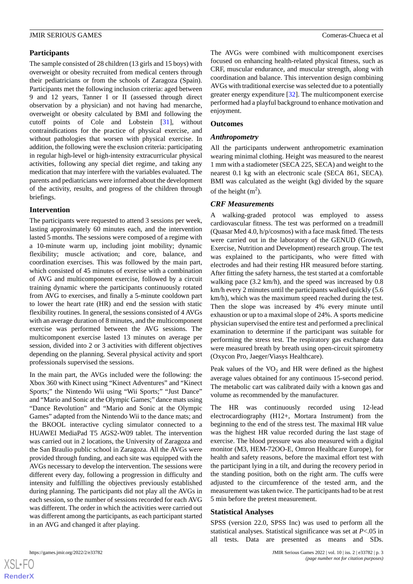# **Participants**

The sample consisted of 28 children (13 girls and 15 boys) with overweight or obesity recruited from medical centers through their pediatricians or from the schools of Zaragoza (Spain). Participants met the following inclusion criteria: aged between 9 and 12 years, Tanner I or II (assessed through direct observation by a physician) and not having had menarche, overweight or obesity calculated by BMI and following the cutoff points of Cole and Lobstein [[31\]](#page-11-15), without contraindications for the practice of physical exercise, and without pathologies that worsen with physical exercise. In addition, the following were the exclusion criteria: participating in regular high-level or high-intensity extracurricular physical activities, following any special diet regime, and taking any medication that may interfere with the variables evaluated. The parents and pediatricians were informed about the development of the activity, results, and progress of the children through briefings.

# **Intervention**

The participants were requested to attend 3 sessions per week, lasting approximately 60 minutes each, and the intervention lasted 5 months. The sessions were composed of a regime with a 10-minute warm up, including joint mobility; dynamic flexibility; muscle activation; and core, balance, and coordination exercises. This was followed by the main part, which consisted of 45 minutes of exercise with a combination of AVG and multicomponent exercise, followed by a circuit training dynamic where the participants continuously rotated from AVG to exercises, and finally a 5-minute cooldown part to lower the heart rate (HR) and end the session with static flexibility routines. In general, the sessions consisted of 4 AVGs with an average duration of 8 minutes, and the multicomponent exercise was performed between the AVG sessions. The multicomponent exercise lasted 13 minutes on average per session, divided into 2 or 3 activities with different objectives depending on the planning. Several physical activity and sport professionals supervised the sessions.

In the main part, the AVGs included were the following: the Xbox 360 with Kinect using "Kinect Adventures" and "Kinect Sports;" the Nintendo Wii using "Wii Sports;" "Just Dance" and "Mario and Sonic at the Olympic Games;" dance mats using "Dance Revolution" and "Mario and Sonic at the Olympic Games" adapted from the Nintendo Wii to the dance mats; and the BKOOL interactive cycling simulator connected to a HUAWEI MediaPad T5 AGS2-W09 tablet. The intervention was carried out in 2 locations, the University of Zaragoza and the San Braulio public school in Zaragoza. All the AVGs were provided through funding, and each site was equipped with the AVGs necessary to develop the intervention. The sessions were different every day, following a progression in difficulty and intensity and fulfilling the objectives previously established during planning. The participants did not play all the AVGs in each session, so the number of sessions recorded for each AVG was different. The order in which the activities were carried out was different among the participants, as each participant started in an AVG and changed it after playing.

The AVGs were combined with multicomponent exercises focused on enhancing health-related physical fitness, such as CRF, muscular endurance, and muscular strength, along with coordination and balance. This intervention design combining AVGs with traditional exercise was selected due to a potentially greater energy expenditure [\[32](#page-11-16)]. The multicomponent exercise performed had a playful background to enhance motivation and enjoyment.

# **Outcomes**

### *Anthropometry*

All the participants underwent anthropometric examination wearing minimal clothing. Height was measured to the nearest 1 mm with a stadiometer (SECA 225, SECA) and weight to the nearest 0.1 kg with an electronic scale (SECA 861, SECA). BMI was calculated as the weight (kg) divided by the square of the height  $(m^2)$ .

# *CRF Measurements*

A walking-graded protocol was employed to assess cardiovascular fitness. The test was performed on a treadmill (Quasar Med 4.0, h/p/cosmos) with a face mask fitted. The tests were carried out in the laboratory of the GENUD (Growth, Exercise, Nutrition and Development) research group. The test was explained to the participants, who were fitted with electrodes and had their resting HR measured before starting. After fitting the safety harness, the test started at a comfortable walking pace (3.2 km/h), and the speed was increased by 0.8 km/h every 2 minutes until the participants walked quickly (5.6 km/h), which was the maximum speed reached during the test. Then the slope was increased by 4% every minute until exhaustion or up to a maximal slope of 24%. A sports medicine physician supervised the entire test and performed a preclinical examination to determine if the participant was suitable for performing the stress test. The respiratory gas exchange data were measured breath by breath using open-circuit spirometry (Oxycon Pro, Jaeger/Viasys Healthcare).

Peak values of the  $VO<sub>2</sub>$  and HR were defined as the highest average values obtained for any continuous 15-second period. The metabolic cart was calibrated daily with a known gas and volume as recommended by the manufacturer.

The HR was continuously recorded using 12-lead electrocardiography (H12+, Mortara Instrument) from the beginning to the end of the stress test. The maximal HR value was the highest HR value recorded during the last stage of exercise. The blood pressure was also measured with a digital monitor (M3, HEM-72OO-E, Omron Healthcare Europe), for health and safety reasons, before the maximal effort test with the participant lying in a tilt, and during the recovery period in the standing position, both on the right arm. The cuffs were adjusted to the circumference of the tested arm, and the measurement was taken twice. The participants had to be at rest 5 min before the pretest measurement.

### **Statistical Analyses**

SPSS (version 22.0, SPSS Inc) was used to perform all the statistical analyses. Statistical significance was set at *P*<.05 in all tests. Data are presented as means and SDs.

 $XSI - F($ **[RenderX](http://www.renderx.com/)**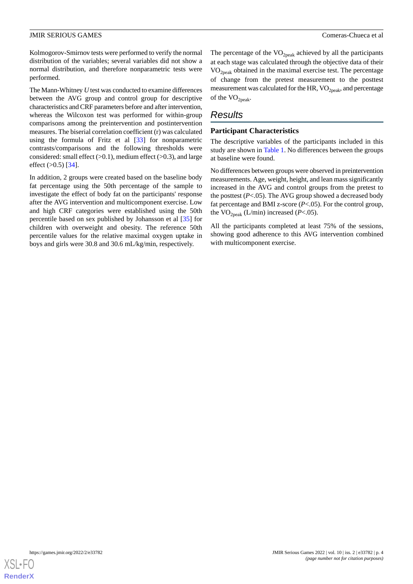Kolmogorov-Smirnov tests were performed to verify the normal distribution of the variables; several variables did not show a normal distribution, and therefore nonparametric tests were performed.

The Mann-Whitney *U* test was conducted to examine differences between the AVG group and control group for descriptive characteristics and CRF parameters before and after intervention, whereas the Wilcoxon test was performed for within-group comparisons among the preintervention and postintervention measures. The biserial correlation coefficient (r) was calculated using the formula of Fritz et al [\[33](#page-11-17)] for nonparametric contrasts/comparisons and the following thresholds were considered: small effect  $(>0.1)$ , medium effect  $(>0.3)$ , and large effect  $(>0.5)$  [\[34](#page-11-18)].

In addition, 2 groups were created based on the baseline body fat percentage using the 50th percentage of the sample to investigate the effect of body fat on the participants' response after the AVG intervention and multicomponent exercise. Low and high CRF categories were established using the 50th percentile based on sex published by Johansson et al [[35\]](#page-11-19) for children with overweight and obesity. The reference 50th percentile values for the relative maximal oxygen uptake in boys and girls were 30.8 and 30.6 mL/kg/min, respectively.

The percentage of the  $VO<sub>2peak</sub>$  achieved by all the participants at each stage was calculated through the objective data of their  $VO<sub>2peak</sub> obtained in the maximal exercise test. The percentage$ of change from the pretest measurement to the posttest measurement was calculated for the HR,  $VO<sub>2peak</sub>$ , and percentage of the  $\mathrm{VO}_{2\text{peak}}$ .

# *Results*

#### **Participant Characteristics**

The descriptive variables of the participants included in this study are shown in [Table 1.](#page-4-0) No differences between the groups at baseline were found.

No differences between groups were observed in preintervention measurements. Age, weight, height, and lean mass significantly increased in the AVG and control groups from the pretest to the posttest  $(P<.05)$ . The AVG group showed a decreased body fat percentage and BMI z-score (*P*<.05). For the control group, the  $VO<sub>2peak</sub> (L/min) increased (P<.05)$ .

All the participants completed at least 75% of the sessions, showing good adherence to this AVG intervention combined with multicomponent exercise.

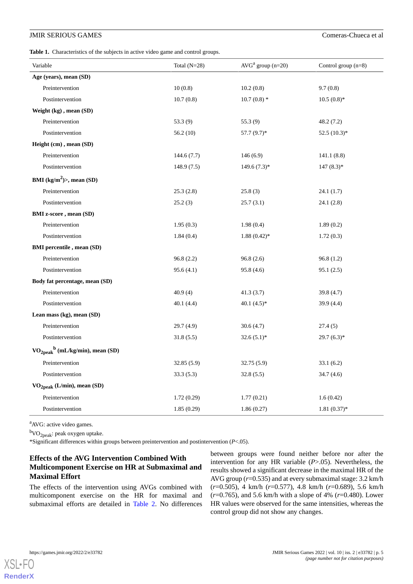<span id="page-4-0"></span>Table 1. Characteristics of the subjects in active video game and control groups.

| Variable                                      | Total $(N=28)$ | $AVGa$ group (n=20) | Control group $(n=8)$ |
|-----------------------------------------------|----------------|---------------------|-----------------------|
| Age (years), mean (SD)                        |                |                     |                       |
| Preintervention                               | 10(0.8)        | 10.2(0.8)           | 9.7(0.8)              |
| Postintervention                              | 10.7(0.8)      | $10.7(0.8)$ *       | $10.5(0.8)$ *         |
| Weight (kg), mean (SD)                        |                |                     |                       |
| Preintervention                               | 53.3(9)        | 55.3(9)             | 48.2 (7.2)            |
| Postintervention                              | 56.2(10)       | $57.7(9.7)^*$       | $52.5(10.3)*$         |
| Height (cm), mean (SD)                        |                |                     |                       |
| Preintervention                               | 144.6(7.7)     | 146(6.9)            | 141.1(8.8)            |
| Postintervention                              | 148.9(7.5)     | $149.6(7.3)*$       | $147(8.3)*$           |
| BMI $(kg/m^2)$ , mean (SD)                    |                |                     |                       |
| Preintervention                               | 25.3(2.8)      | 25.8(3)             | 24.1 (1.7)            |
| Postintervention                              | 25.2(3)        | 25.7(3.1)           | 24.1 (2.8)            |
| <b>BMI</b> z-score, mean (SD)                 |                |                     |                       |
| Preintervention                               | 1.95(0.3)      | 1.98(0.4)           | 1.89(0.2)             |
| Postintervention                              | 1.84(0.4)      | $1.88(0.42)$ *      | 1.72(0.3)             |
| <b>BMI</b> percentile, mean (SD)              |                |                     |                       |
| Preintervention                               | 96.8(2.2)      | 96.8(2.6)           | 96.8(1.2)             |
| Postintervention                              | 95.6(4.1)      | 95.8(4.6)           | 95.1(2.5)             |
| Body fat percentage, mean (SD)                |                |                     |                       |
| Preintervention                               | 40.9(4)        | 41.3(3.7)           | 39.8 (4.7)            |
| Postintervention                              | 40.1(4.4)      | 40.1 $(4.5)^*$      | 39.9 (4.4)            |
| Lean mass (kg), mean (SD)                     |                |                     |                       |
| Preintervention                               | 29.7(4.9)      | 30.6(4.7)           | 27.4(5)               |
| Postintervention                              | 31.8(5.5)      | $32.6(5.1)$ *       | $29.7(6.3)*$          |
| $VO2peak$ <sup>b</sup> (mL/kg/min), mean (SD) |                |                     |                       |
| Preintervention                               | 32.85(5.9)     | 32.75(5.9)          | 33.1(6.2)             |
| Postintervention                              | 33.3(5.3)      | 32.8(5.5)           | 34.7(4.6)             |
| $VO2peak$ (L/min), mean (SD)                  |                |                     |                       |
| Preintervention                               | 1.72(0.29)     | 1.77(0.21)          | 1.6(0.42)             |
| Postintervention                              | 1.85(0.29)     | 1.86(0.27)          | $1.81(0.37)$ *        |

<sup>a</sup>AVG: active video games.

 ${}^{\text{b}}\text{VO}_{\text{2peak}}$ : peak oxygen uptake.

\*Significant differences within groups between preintervention and postintervention (*P*<.05).

# **Effects of the AVG Intervention Combined With Multicomponent Exercise on HR at Submaximal and Maximal Effort**

The effects of the intervention using AVGs combined with multicomponent exercise on the HR for maximal and submaximal efforts are detailed in [Table 2.](#page-5-0) No differences between groups were found neither before nor after the intervention for any HR variable (*P*>.05). Nevertheless, the results showed a significant decrease in the maximal HR of the AVG group (*r*=0.535) and at every submaximal stage: 3.2 km/h (*r*=0.505), 4 km/h (*r*=0.577), 4.8 km/h (*r*=0.689), 5.6 km/h (*r*=0.765), and 5.6 km/h with a slope of 4% (*r*=0.480). Lower HR values were observed for the same intensities, whereas the control group did not show any changes.

 $XS$ l • FC **[RenderX](http://www.renderx.com/)**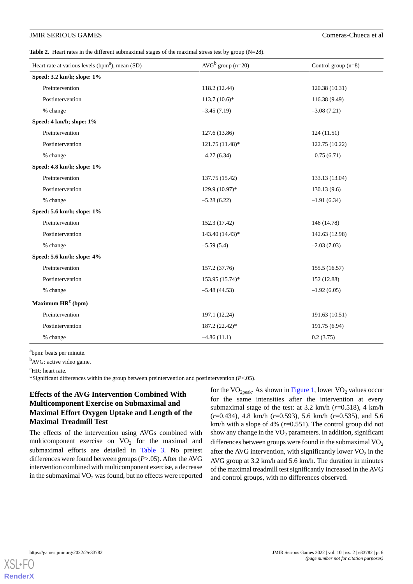<span id="page-5-0"></span>**Table 2.** Heart rates in the different submaximal stages of the maximal stress test by group (N=28).

| Heart rate at various levels (bpm <sup>a</sup> ), mean (SD) | $AVGb$ group (n=20) | Control group $(n=8)$ |
|-------------------------------------------------------------|---------------------|-----------------------|
| Speed: 3.2 km/h; slope: 1%                                  |                     |                       |
| Preintervention                                             | 118.2 (12.44)       | 120.38 (10.31)        |
| Postintervention                                            | $113.7(10.6)$ *     | 116.38 (9.49)         |
| % change                                                    | $-3.45(7.19)$       | $-3.08(7.21)$         |
| Speed: 4 km/h; slope: 1%                                    |                     |                       |
| Preintervention                                             | 127.6 (13.86)       | 124(11.51)            |
| Postintervention                                            | 121.75 (11.48)*     | 122.75 (10.22)        |
| % change                                                    | $-4.27(6.34)$       | $-0.75(6.71)$         |
| Speed: 4.8 km/h; slope: 1%                                  |                     |                       |
| Preintervention                                             | 137.75 (15.42)      | 133.13 (13.04)        |
| Postintervention                                            | 129.9 (10.97)*      | 130.13(9.6)           |
| % change                                                    | $-5.28(6.22)$       | $-1.91(6.34)$         |
| Speed: 5.6 km/h; slope: 1%                                  |                     |                       |
| Preintervention                                             | 152.3 (17.42)       | 146 (14.78)           |
| Postintervention                                            | 143.40 (14.43)*     | 142.63 (12.98)        |
| % change                                                    | $-5.59(5.4)$        | $-2.03(7.03)$         |
| Speed: 5.6 km/h; slope: 4%                                  |                     |                       |
| Preintervention                                             | 157.2 (37.76)       | 155.5 (16.57)         |
| Postintervention                                            | 153.95 (15.74)*     | 152 (12.88)           |
| % change                                                    | $-5.48(44.53)$      | $-1.92(6.05)$         |
| Maximum $HR^c$ (bpm)                                        |                     |                       |
| Preintervention                                             | 197.1 (12.24)       | 191.63 (10.51)        |
| Postintervention                                            | 187.2 (22.42)*      | 191.75 (6.94)         |
| % change                                                    | $-4.86(11.1)$       | 0.2(3.75)             |

<sup>a</sup>bpm: beats per minute.

<sup>b</sup>AVG: active video game.

<sup>c</sup>HR: heart rate.

\*Significant differences within the group between preintervention and postintervention (*P*<.05).

# **Effects of the AVG Intervention Combined With Multicomponent Exercise on Submaximal and Maximal Effort Oxygen Uptake and Length of the Maximal Treadmill Test**

The effects of the intervention using AVGs combined with multicomponent exercise on  $VO<sub>2</sub>$  for the maximal and submaximal efforts are detailed in [Table 3.](#page-6-0) No pretest differences were found between groups (*P*>.05). After the AVG intervention combined with multicomponent exercise, a decrease in the submaximal  $VO<sub>2</sub>$  was found, but no effects were reported

for the  $VO<sub>2peak</sub>$ . As shown in [Figure 1](#page-7-0), lower  $VO<sub>2</sub>$  values occur for the same intensities after the intervention at every submaximal stage of the test: at 3.2 km/h (*r*=0.518), 4 km/h (*r*=0.434), 4.8 km/h (*r*=0.593), 5.6 km/h (*r*=0.535), and 5.6 km/h with a slope of 4% (*r*=0.551). The control group did not show any change in the  $VO<sub>2</sub>$  parameters. In addition, significant differences between groups were found in the submaximal  $VO<sub>2</sub>$ after the AVG intervention, with significantly lower  $\text{VO}_2$  in the AVG group at 3.2 km/h and 5.6 km/h. The duration in minutes of the maximal treadmill test significantly increased in the AVG and control groups, with no differences observed.

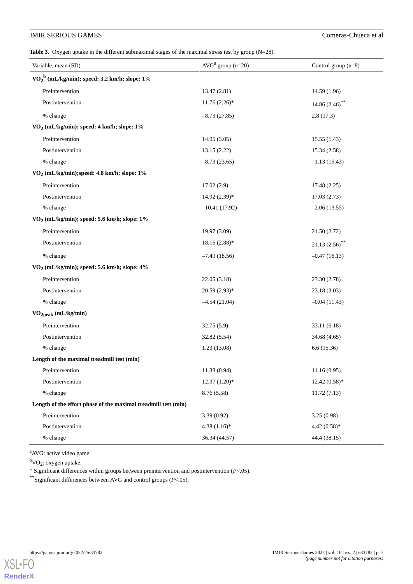<span id="page-6-0"></span>Table 3. Oxygen uptake in the different submaximal stages of the maximal stress test by group (N=28).

| Variable, mean (SD)                                            | $AVGa$ group (n=20) | Control group $(n=8)$ |  |  |
|----------------------------------------------------------------|---------------------|-----------------------|--|--|
| $VO2b$ (mL/kg/min); speed: 3.2 km/h; slope: 1%                 |                     |                       |  |  |
| Preintervention                                                | 13.47 (2.81)        | 14.59 (1.96)          |  |  |
| Postintervention                                               | $11.76(2.26)$ *     | 14.86 $(2.46)$ **     |  |  |
| % change                                                       | $-8.73(27.85)$      | 2.8(17.3)             |  |  |
| VO <sub>2</sub> (mL/kg/min); speed: 4 km/h; slope: 1%          |                     |                       |  |  |
| Preintervention                                                | 14.95(3.05)         | 15.55(1.43)           |  |  |
| Postintervention                                               | 13.15 (2.22)        | 15.34 (2.58)          |  |  |
| % change                                                       | $-8.73(23.65)$      | $-1.13(15.43)$        |  |  |
| VO <sub>2</sub> (mL/kg/min);speed: 4.8 km/h; slope: 1%         |                     |                       |  |  |
| Preintervention                                                | 17.02(2.9)          | 17.48(2.25)           |  |  |
| Postintervention                                               | $14.92(2.39)*$      | 17.03(2.73)           |  |  |
| % change                                                       | $-10.41(17.92)$     | $-2.06(13.55)$        |  |  |
| VO <sub>2</sub> (mL/kg/min); speed: 5.6 km/h; slope: 1%        |                     |                       |  |  |
| Preintervention                                                | 19.97 (3.09)        | 21.50(2.72)           |  |  |
| Postintervention                                               | $18.16(2.88)*$      | $21.13(2.56)$ **      |  |  |
| % change                                                       | $-7.49(18.56)$      | $-0.47(16.13)$        |  |  |
| VO <sub>2</sub> (mL/kg/min); speed: 5.6 km/h; slope: 4%        |                     |                       |  |  |
| Preintervention                                                | 22.05 (3.18)        | 23.30 (2.78)          |  |  |
| Postintervention                                               | $20.59(2.93)*$      | 23.18 (3.03)          |  |  |
| % change                                                       | $-4.54(21.04)$      | $-0.04(11.43)$        |  |  |
| VO <sub>2peak</sub> (mL/kg/min)                                |                     |                       |  |  |
| Preintervention                                                | 32.75(5.9)          | 33.11 (6.18)          |  |  |
| Postintervention                                               | 32.82 (5.54)        | 34.68 (4.65)          |  |  |
| % change                                                       | 1.23(13.08)         | 6.6(15.36)            |  |  |
| Length of the maximal treadmill test (min)                     |                     |                       |  |  |
| Preintervention                                                | 11.38 (0.94)        | 11.16(0.95)           |  |  |
| Postintervention                                               | $12.37(1.20)*$      | $12.42(0.58)*$        |  |  |
| % change                                                       | 8.76 (5.58)         | 11.72(7.13)           |  |  |
| Length of the effort phase of the maximal treadmill test (min) |                     |                       |  |  |
| Preintervention                                                | 3.39(0.92)          | 3.25(0.98)            |  |  |
| Postintervention                                               | $4.38(1.16)$ *      | $4.42(0.58)$ *        |  |  |
| % change                                                       | 36.34 (44.57)       | 44.4 (38.15)          |  |  |

<sup>a</sup>AVG: active video game.

<sup>b</sup>VO<sub>2</sub>: oxygen uptake.

\* Significant differences within groups between preintervention and postintervention (*P*<.05).

\*\*Significant differences between AVG and control groups (*P*<.05).

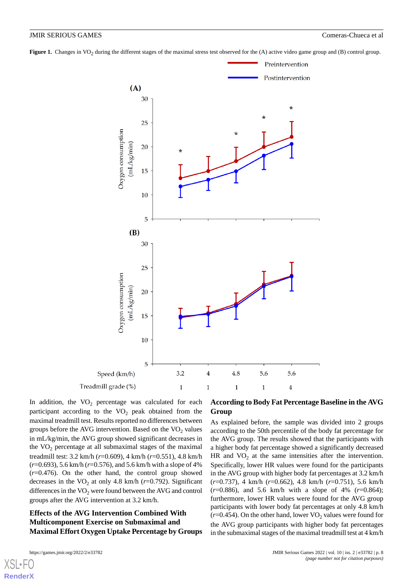<span id="page-7-0"></span>**Figure 1.** Changes in VO<sub>2</sub> during the different stages of the maximal stress test observed for the (A) active video game group and (B) control group.



In addition, the  $VO<sub>2</sub>$  percentage was calculated for each participant according to the  $VO<sub>2</sub>$  peak obtained from the maximal treadmill test. Results reported no differences between groups before the AVG intervention. Based on the  $VO<sub>2</sub>$  values in mL/kg/min, the AVG group showed significant decreases in the  $VO<sub>2</sub>$  percentage at all submaximal stages of the maximal treadmill test: 3.2 km/h (*r*=0.609), 4 km/h (*r*=0.551), 4.8 km/h (*r*=0.693), 5.6 km/h (*r*=0.576), and 5.6 km/h with a slope of 4% (*r*=0.476). On the other hand, the control group showed decreases in the  $VO_2$  at only 4.8 km/h ( $r=0.792$ ). Significant differences in the  $VO<sub>2</sub>$  were found between the AVG and control groups after the AVG intervention at 3.2 km/h.

# **Effects of the AVG Intervention Combined With Multicomponent Exercise on Submaximal and Maximal Effort Oxygen Uptake Percentage by Groups**

# **According to Body Fat Percentage Baseline in the AVG Group**

As explained before, the sample was divided into 2 groups according to the 50th percentile of the body fat percentage for the AVG group. The results showed that the participants with a higher body fat percentage showed a significantly decreased HR and  $VO<sub>2</sub>$  at the same intensities after the intervention. Specifically, lower HR values were found for the participants in the AVG group with higher body fat percentages at 3.2 km/h (*r*=0.737), 4 km/h (*r*=0.662), 4.8 km/h (*r*=0.751), 5.6 km/h (*r*=0.886), and 5.6 km/h with a slope of 4% (*r*=0.864); furthermore, lower HR values were found for the AVG group participants with lower body fat percentages at only 4.8 km/h  $(r=0.454)$ . On the other hand, lower VO<sub>2</sub> values were found for the AVG group participants with higher body fat percentages in the submaximal stages of the maximal treadmill test at 4 km/h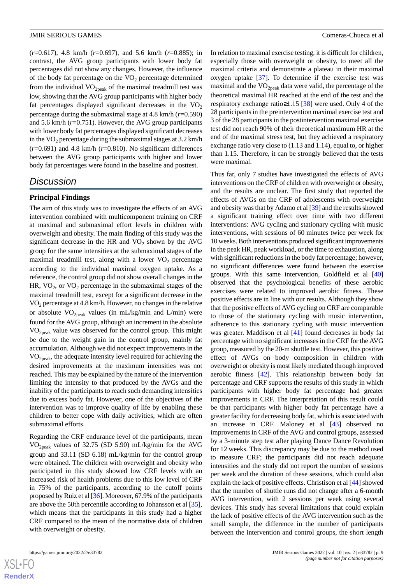(*r*=0.617), 4.8 km/h (*r*=0.697), and 5.6 km/h (*r*=0.885); in contrast, the AVG group participants with lower body fat percentages did not show any changes. However, the influence of the body fat percentage on the  $VO<sub>2</sub>$  percentage determined from the individual  $VO_{2peak}$  of the maximal treadmill test was low, showing that the AVG group participants with higher body fat percentages displayed significant decreases in the  $VO<sub>2</sub>$ percentage during the submaximal stage at 4.8 km/h (*r*=0.590) and 5.6 km/h (*r*=0.751). However, the AVG group participants with lower body fat percentages displayed significant decreases in the  $VO<sub>2</sub>$  percentage during the submaximal stages at 3.2 km/h  $(r=0.691)$  and 4.8 km/h  $(r=0.810)$ . No significant differences between the AVG group participants with higher and lower body fat percentages were found in the baseline and posttest.

# *Discussion*

# **Principal Findings**

The aim of this study was to investigate the effects of an AVG intervention combined with multicomponent training on CRF at maximal and submaximal effort levels in children with overweight and obesity. The main finding of this study was the significant decrease in the HR and  $VO<sub>2</sub>$  shown by the AVG group for the same intensities at the submaximal stages of the maximal treadmill test, along with a lower  $VO<sub>2</sub>$  percentage according to the individual maximal oxygen uptake. As a reference, the control group did not show overall changes in the HR,  $VO_2$ , or  $VO_2$  percentage in the submaximal stages of the maximal treadmill test, except for a significant decrease in the  $VO<sub>2</sub>$  percentage at 4.8 km/h. However, no changes in the relative or absolute  $VO_{2peak}$  values (in mL/kg/min and L/min) were found for the AVG group, although an increment in the absolute  $VO<sub>2peak</sub>$  value was observed for the control group. This might be due to the weight gain in the control group, mainly fat accumulation. Although we did not expect improvements in the VO2peak, the adequate intensity level required for achieving the desired improvements at the maximum intensities was not reached. This may be explained by the nature of the intervention limiting the intensity to that produced by the AVGs and the inability of the participants to reach such demanding intensities due to excess body fat. However, one of the objectives of the intervention was to improve quality of life by enabling these children to better cope with daily activities, which are often submaximal efforts.

Regarding the CRF endurance level of the participants, mean  $VO<sub>2peak</sub>$  values of 32.75 (SD 5.90) mL/kg/min for the AVG group and 33.11 (SD 6.18) mL/kg/min for the control group were obtained. The children with overweight and obesity who participated in this study showed low CRF levels with an increased risk of health problems due to this low level of CRF in 75% of the participants, according to the cutoff points proposed by Ruiz et al [\[36](#page-11-20)]. Moreover, 67.9% of the participants are above the 50th percentile according to Johansson et al [[35\]](#page-11-19), which means that the participants in this study had a higher CRF compared to the mean of the normative data of children with overweight or obesity.

In relation to maximal exercise testing, it is difficult for children, especially those with overweight or obesity, to meet all the maximal criteria and demonstrate a plateau in their maximal oxygen uptake [[37\]](#page-11-21). To determine if the exercise test was maximal and the  $VO<sub>2peak</sub>$  data were valid, the percentage of the theoretical maximal HR reached at the end of the test and the respiratory exchange ratio≥1.15 [\[38](#page-11-22)] were used. Only 4 of the 28 participants in the preintervention maximal exercise test and 3 of the 28 participants in the postintervention maximal exercise test did not reach 90% of their theoretical maximum HR at the end of the maximal stress test, but they achieved a respiratory exchange ratio very close to (1.13 and 1.14), equal to, or higher than 1.15. Therefore, it can be strongly believed that the tests were maximal.

Thus far, only 7 studies have investigated the effects of AVG interventions on the CRF of children with overweight or obesity, and the results are unclear. The first study that reported the effects of AVGs on the CRF of adolescents with overweight and obesity was that by Adamo et al [\[39](#page-12-0)] and the results showed a significant training effect over time with two different interventions: AVG cycling and stationary cycling with music interventions, with sessions of 60 minutes twice per week for 10 weeks. Both interventions produced significant improvements in the peak HR, peak workload, or the time to exhaustion, along with significant reductions in the body fat percentage; however, no significant differences were found between the exercise groups. With this same intervention, Goldfield et al [\[40](#page-12-1)] observed that the psychological benefits of these aerobic exercises were related to improved aerobic fitness. These positive effects are in line with our results. Although they show that the positive effects of AVG cycling on CRF are comparable to those of the stationary cycling with music intervention, adherence to this stationary cycling with music intervention was greater. Maddison et al [\[41](#page-12-2)] found decreases in body fat percentage with no significant increases in the CRF for the AVG group, measured by the 20-m shuttle test. However, this positive effect of AVGs on body composition in children with overweight or obesity is most likely mediated through improved aerobic fitness [\[42](#page-12-3)]. This relationship between body fat percentage and CRF supports the results of this study in which participants with higher body fat percentage had greater improvements in CRF. The interpretation of this result could be that participants with higher body fat percentage have a greater facility for decreasing body fat, which is associated with an increase in CRF. Maloney et al [[43\]](#page-12-4) observed no improvements in CRF of the AVG and control groups, assessed by a 3-minute step test after playing Dance Dance Revolution for 12 weeks. This discrepancy may be due to the method used to measure CRF; the participants did not reach adequate intensities and the study did not report the number of sessions per week and the duration of these sessions, which could also explain the lack of positive effects. Christison et al [\[44](#page-12-5)] showed that the number of shuttle runs did not change after a 6-month AVG intervention, with 2 sessions per week using several devices. This study has several limitations that could explain the lack of positive effects of the AVG intervention such as the small sample, the difference in the number of participants between the intervention and control groups, the short length

 $XS$  • FC **[RenderX](http://www.renderx.com/)**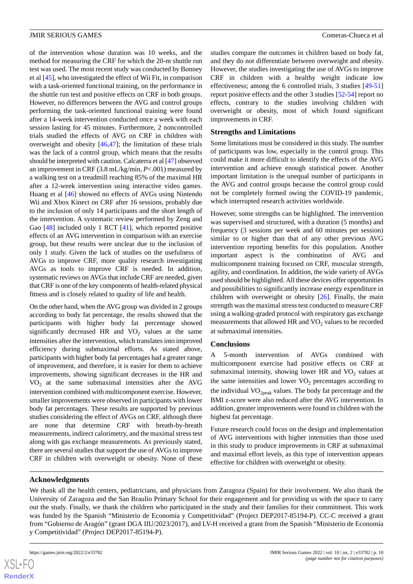of the intervention whose duration was 10 weeks, and the method for measuring the CRF for which the 20-m shuttle run test was used. The most recent study was conducted by Bonney et al [[45\]](#page-12-6), who investigated the effect of Wii Fit, in comparison with a task-oriented functional training, on the performance in the shuttle run test and positive effects on CRF in both groups. However, no differences between the AVG and control groups performing the task-oriented functional training were found after a 14-week intervention conducted once a week with each session lasting for 45 minutes. Furthermore, 2 noncontrolled trials studied the effects of AVG on CRF in children with overweight and obesity [[46](#page-12-7)[,47](#page-12-8)]; the limitation of these trials was the lack of a control group, which means that the results should be interpreted with caution. Calcaterra et al [[47](#page-12-8)] observed an improvement in CRF (3.8 mL/kg/min, *P*<.001) measured by a walking test on a treadmill reaching 85% of the maximal HR after a 12-week intervention using interactive video games. Huang et al [[46\]](#page-12-7) showed no effects of AVGs using Nintendo Wii and Xbox Kinect on CRF after 16 sessions, probably due to the inclusion of only 14 participants and the short length of the intervention. A systematic review performed by Zeng and Gao [[48\]](#page-12-9) included only 1 RCT [\[41](#page-12-2)], which reported positive effects of an AVG intervention in comparison with an exercise group, but these results were unclear due to the inclusion of only 1 study. Given the lack of studies on the usefulness of AVGs to improve CRF, more quality research investigating AVGs as tools to improve CRF is needed. In addition, systematic reviews on AVGs that include CRF are needed, given that CRF is one of the key components of health-related physical fitness and is closely related to quality of life and health.

On the other hand, when the AVG group was divided in 2 groups according to body fat percentage, the results showed that the participants with higher body fat percentage showed significantly decreased HR and  $VO<sub>2</sub>$  values at the same intensities after the intervention, which translates into improved efficiency during submaximal efforts. As stated above, participants with higher body fat percentages had a greater range of improvement, and therefore, it is easier for them to achieve improvements, showing significant decreases in the HR and VO<sup>2</sup> at the same submaximal intensities after the AVG intervention combined with multicomponent exercise. However, smaller improvements were observed in participants with lower body fat percentages. These results are supported by previous studies considering the effect of AVGs on CRF, although there are none that determine CRF with breath-by-breath measurements, indirect calorimetry, and the maximal stress test along with gas exchange measurements. As previously stated, there are several studies that support the use of AVGs to improve CRF in children with overweight or obesity. None of these

studies compare the outcomes in children based on body fat, and they do not differentiate between overweight and obesity. However, the studies investigating the use of AVGs to improve CRF in children with a healthy weight indicate low effectiveness; among the 6 controlled trials, 3 studies [\[49](#page-12-10)[-51](#page-12-11)] report positive effects and the other 3 studies [[52-](#page-12-12)[54\]](#page-12-13) report no effects, contrary to the studies involving children with overweight or obesity, most of which found significant improvements in CRF.

# **Strengths and Limitations**

Some limitations must be considered in this study. The number of participants was low, especially in the control group. This could make it more difficult to identify the effects of the AVG intervention and achieve enough statistical power. Another important limitation is the unequal number of participants in the AVG and control groups because the control group could not be completely formed owing the COVID-19 pandemic, which interrupted research activities worldwide.

However, some strengths can be highlighted. The intervention was supervised and structured, with a duration (5 months) and frequency (3 sessions per week and 60 minutes per session) similar to or higher than that of any other previous AVG intervention reporting benefits for this population. Another important aspect is the combination of AVG and multicomponent training focused on CRF, muscular strength, agility, and coordination. In addition, the wide variety of AVGs used should be highlighted. All these devices offer opportunities and possibilities to significantly increase energy expenditure in children with overweight or obesity [\[26](#page-11-10)]. Finally, the main strength was the maximal stress test conducted to measure CRF using a walking-graded protocol with respiratory gas exchange measurements that allowed HR and  $VO<sub>2</sub>$  values to be recorded at submaximal intensities.

# **Conclusions**

A 5-month intervention of AVGs combined with multicomponent exercise had positive effects on CRF at submaximal intensity, showing lower HR and  $VO<sub>2</sub>$  values at the same intensities and lower  $VO<sub>2</sub>$  percentages according to the individual  $VO<sub>2peak</sub>$  values. The body fat percentage and the BMI z-score were also reduced after the AVG intervention. In addition, greater improvements were found in children with the highest fat percentage.

Future research could focus on the design and implementation of AVG interventions with higher intensities than those used in this study to produce improvements in CRF at submaximal and maximal effort levels, as this type of intervention appears effective for children with overweight or obesity.

# **Acknowledgments**

We thank all the health centers, pediatricians, and physicians from Zaragoza (Spain) for their involvement. We also thank the University of Zaragoza and the San Braulio Primary School for their engagement and for providing us with the space to carry out the study. Finally, we thank the children who participated in the study and their families for their commitment. This work was funded by the Spanish "Ministerio de Economía y Competitividad" (Project DEP2017-85194-P). CC-C received a grant from "Gobierno de Aragón" (grant DGA IIU/2023/2017), and LV-H received a grant from the Spanish "Ministerio de Economía y Competitividad" (Project DEP2017-85194-P).



**[RenderX](http://www.renderx.com/)**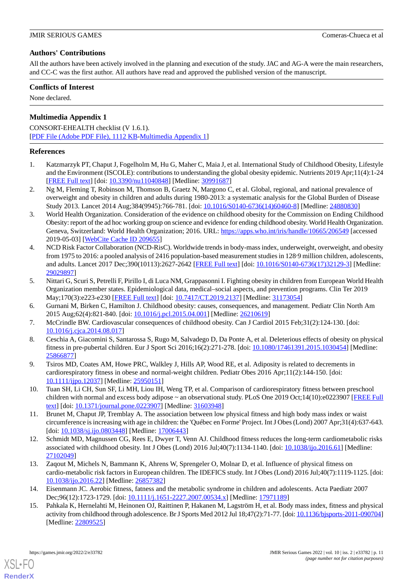# **Authors' Contributions**

All the authors have been actively involved in the planning and execution of the study. JAC and AG-A were the main researchers, and CC-C was the first author. All authors have read and approved the published version of the manuscript.

# **Conflicts of Interest**

None declared.

# **Multimedia Appendix 1**

CONSORT-EHEALTH checklist (V 1.6.1). [[PDF File \(Adobe PDF File\), 1112 KB](https://jmir.org/api/download?alt_name=games_v10i2e33782_app1.pdf&filename=486845391d09460f111ac54f63b574eb.pdf)-[Multimedia Appendix 1\]](https://jmir.org/api/download?alt_name=games_v10i2e33782_app1.pdf&filename=486845391d09460f111ac54f63b574eb.pdf)

# <span id="page-10-0"></span>**References**

- <span id="page-10-1"></span>1. Katzmarzyk PT, Chaput J, Fogelholm M, Hu G, Maher C, Maia J, et al. International Study of Childhood Obesity, Lifestyle and the Environment (ISCOLE): contributions to understanding the global obesity epidemic. Nutrients 2019 Apr;11(4):1-24 [[FREE Full text](https://www.mdpi.com/resolver?pii=nu11040848)] [doi: [10.3390/nu11040848\]](http://dx.doi.org/10.3390/nu11040848) [Medline: [30991687](http://www.ncbi.nlm.nih.gov/entrez/query.fcgi?cmd=Retrieve&db=PubMed&list_uids=30991687&dopt=Abstract)]
- <span id="page-10-2"></span>2. Ng M, Fleming T, Robinson M, Thomson B, Graetz N, Margono C, et al. Global, regional, and national prevalence of overweight and obesity in children and adults during 1980-2013: a systematic analysis for the Global Burden of Disease Study 2013. Lancet 2014 Aug;384(9945):766-781. [doi: [10.1016/S0140-6736\(14\)60460-8\]](http://dx.doi.org/10.1016/S0140-6736(14)60460-8) [Medline: [24880830\]](http://www.ncbi.nlm.nih.gov/entrez/query.fcgi?cmd=Retrieve&db=PubMed&list_uids=24880830&dopt=Abstract)
- <span id="page-10-3"></span>3. World Health Organization. Consideration of the evidence on childhood obesity for the Commission on Ending Childhood Obesity: report of the ad hoc working group on science and evidence for ending childhood obesity. World Health Organization. Geneva, Switzerland: World Health Organization; 2016. URL: <https://apps.who.int/iris/handle/10665/206549> [accessed 2019-05-03] [\[WebCite Cache ID 209655](http://www.webcitation.org/

                                209655)]
- <span id="page-10-4"></span>4. NCD Risk Factor Collaboration (NCD-RisC). Worldwide trends in body-mass index, underweight, overweight, and obesity from 1975 to 2016: a pooled analysis of 2416 population-based measurement studies in 128·9 million children, adolescents, and adults. Lancet 2017 Dec;390(10113):2627-2642 [\[FREE Full text](https://linkinghub.elsevier.com/retrieve/pii/S0140-6736(17)32129-3)] [doi: [10.1016/S0140-6736\(17\)32129-3\]](http://dx.doi.org/10.1016/S0140-6736(17)32129-3) [Medline: [29029897](http://www.ncbi.nlm.nih.gov/entrez/query.fcgi?cmd=Retrieve&db=PubMed&list_uids=29029897&dopt=Abstract)]
- <span id="page-10-6"></span><span id="page-10-5"></span>5. Nittari G, Scuri S, Petrelli F, Pirillo I, di Luca NM, Grappasonni I. Fighting obesity in children from European World Health Organization member states. Epidemiological data, medical–social aspects, and prevention programs. Clin Ter 2019 May;170(3):e223-e230 [\[FREE Full text\]](http://www.clinicaterapeutica.it/2019/170/3/12_NITTARI.pdf) [doi: [10.7417/CT.2019.2137](http://dx.doi.org/10.7417/CT.2019.2137)] [Medline: [31173054\]](http://www.ncbi.nlm.nih.gov/entrez/query.fcgi?cmd=Retrieve&db=PubMed&list_uids=31173054&dopt=Abstract)
- <span id="page-10-7"></span>6. Gurnani M, Birken C, Hamilton J. Childhood obesity: causes, consequences, and management. Pediatr Clin North Am 2015 Aug;62(4):821-840. [doi: [10.1016/j.pcl.2015.04.001](http://dx.doi.org/10.1016/j.pcl.2015.04.001)] [Medline: [26210619](http://www.ncbi.nlm.nih.gov/entrez/query.fcgi?cmd=Retrieve&db=PubMed&list_uids=26210619&dopt=Abstract)]
- <span id="page-10-8"></span>7. McCrindle BW. Cardiovascular consequences of childhood obesity. Can J Cardiol 2015 Feb;31(2):124-130. [doi: [10.1016/j.cjca.2014.08.017\]](http://dx.doi.org/10.1016/j.cjca.2014.08.017)
- <span id="page-10-9"></span>8. Ceschia A, Giacomini S, Santarossa S, Rugo M, Salvadego D, Da Ponte A, et al. Deleterious effects of obesity on physical fitness in pre-pubertal children. Eur J Sport Sci 2016;16(2):271-278. [doi: [10.1080/17461391.2015.1030454](http://dx.doi.org/10.1080/17461391.2015.1030454)] [Medline: [25866877](http://www.ncbi.nlm.nih.gov/entrez/query.fcgi?cmd=Retrieve&db=PubMed&list_uids=25866877&dopt=Abstract)]
- <span id="page-10-10"></span>9. Tsiros MD, Coates AM, Howe PRC, Walkley J, Hills AP, Wood RE, et al. Adiposity is related to decrements in cardiorespiratory fitness in obese and normal-weight children. Pediatr Obes 2016 Apr;11(2):144-150. [doi: [10.1111/ijpo.12037\]](http://dx.doi.org/10.1111/ijpo.12037) [Medline: [25950151\]](http://www.ncbi.nlm.nih.gov/entrez/query.fcgi?cmd=Retrieve&db=PubMed&list_uids=25950151&dopt=Abstract)
- <span id="page-10-11"></span>10. Tuan SH, Li CH, Sun SF, Li MH, Liou IH, Weng TP, et al. Comparison of cardiorespiratory fitness between preschool children with normal and excess body adipose ~ an observational study. PLoS One 2019 Oct;14(10):e0223907 [[FREE Full](https://dx.plos.org/10.1371/journal.pone.0223907) [text](https://dx.plos.org/10.1371/journal.pone.0223907)] [doi: [10.1371/journal.pone.0223907\]](http://dx.doi.org/10.1371/journal.pone.0223907) [Medline: [31603948](http://www.ncbi.nlm.nih.gov/entrez/query.fcgi?cmd=Retrieve&db=PubMed&list_uids=31603948&dopt=Abstract)]
- <span id="page-10-12"></span>11. Brunet M, Chaput JP, Tremblay A. The association between low physical fitness and high body mass index or waist circumference is increasing with age in children: the 'Québec en Forme' Project. Int J Obes (Lond) 2007 Apr;31(4):637-643. [doi: [10.1038/sj.ijo.0803448](http://dx.doi.org/10.1038/sj.ijo.0803448)] [Medline: [17006443](http://www.ncbi.nlm.nih.gov/entrez/query.fcgi?cmd=Retrieve&db=PubMed&list_uids=17006443&dopt=Abstract)]
- <span id="page-10-13"></span>12. Schmidt MD, Magnussen CG, Rees E, Dwyer T, Venn AJ. Childhood fitness reduces the long-term cardiometabolic risks associated with childhood obesity. Int J Obes (Lond) 2016 Jul;40(7):1134-1140. [doi: [10.1038/ijo.2016.61](http://dx.doi.org/10.1038/ijo.2016.61)] [Medline: [27102049](http://www.ncbi.nlm.nih.gov/entrez/query.fcgi?cmd=Retrieve&db=PubMed&list_uids=27102049&dopt=Abstract)]
- <span id="page-10-14"></span>13. Zaqout M, Michels N, Bammann K, Ahrens W, Sprengeler O, Molnar D, et al. Influence of physical fitness on cardio-metabolic risk factors in European children. The IDEFICS study. Int J Obes (Lond) 2016 Jul;40(7):1119-1125. [doi: [10.1038/ijo.2016.22](http://dx.doi.org/10.1038/ijo.2016.22)] [Medline: [26857382](http://www.ncbi.nlm.nih.gov/entrez/query.fcgi?cmd=Retrieve&db=PubMed&list_uids=26857382&dopt=Abstract)]
- 14. Eisenmann JC. Aerobic fitness, fatness and the metabolic syndrome in children and adolescents. Acta Paediatr 2007 Dec;96(12):1723-1729. [doi: [10.1111/j.1651-2227.2007.00534.x\]](http://dx.doi.org/10.1111/j.1651-2227.2007.00534.x) [Medline: [17971189\]](http://www.ncbi.nlm.nih.gov/entrez/query.fcgi?cmd=Retrieve&db=PubMed&list_uids=17971189&dopt=Abstract)
- 15. Pahkala K, Hernelahti M, Heinonen OJ, Raittinen P, Hakanen M, Lagström H, et al. Body mass index, fitness and physical activity from childhood through adolescence. Br J Sports Med 2012 Jul 18;47(2):71-77. [doi: [10.1136/bjsports-2011-090704](http://dx.doi.org/10.1136/bjsports-2011-090704)] [Medline: [22809525](http://www.ncbi.nlm.nih.gov/entrez/query.fcgi?cmd=Retrieve&db=PubMed&list_uids=22809525&dopt=Abstract)]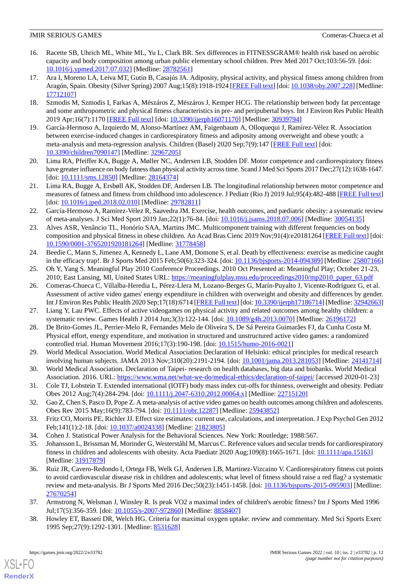- <span id="page-11-0"></span>16. Racette SB, Uhrich ML, White ML, Yu L, Clark BR. Sex differences in FITNESSGRAM® health risk based on aerobic capacity and body composition among urban public elementary school children. Prev Med 2017 Oct;103:56-59. [doi: [10.1016/j.ypmed.2017.07.032\]](http://dx.doi.org/10.1016/j.ypmed.2017.07.032) [Medline: [28782561\]](http://www.ncbi.nlm.nih.gov/entrez/query.fcgi?cmd=Retrieve&db=PubMed&list_uids=28782561&dopt=Abstract)
- <span id="page-11-1"></span>17. Ara I, Moreno LA, Leiva MT, Gutin B, Casajús JA. Adiposity, physical activity, and physical fitness among children from Aragón, Spain. Obesity (Silver Spring) 2007 Aug;15(8):1918-1924 [[FREE Full text\]](https://doi.org/10.1038/oby.2007.228) [doi: [10.1038/oby.2007.228](http://dx.doi.org/10.1038/oby.2007.228)] [Medline: [17712107](http://www.ncbi.nlm.nih.gov/entrez/query.fcgi?cmd=Retrieve&db=PubMed&list_uids=17712107&dopt=Abstract)]
- <span id="page-11-3"></span><span id="page-11-2"></span>18. Szmodis M, Szmodis I, Farkas A, Mészáros Z, Mészáros J, Kemper HCG. The relationship between body fat percentage and some anthropometric and physical fitness characteristics in pre- and peripubertal boys. Int J Environ Res Public Health 2019 Apr;16(7):1170 [[FREE Full text](https://www.mdpi.com/resolver?pii=ijerph16071170)] [doi: [10.3390/ijerph16071170\]](http://dx.doi.org/10.3390/ijerph16071170) [Medline: [30939794\]](http://www.ncbi.nlm.nih.gov/entrez/query.fcgi?cmd=Retrieve&db=PubMed&list_uids=30939794&dopt=Abstract)
- 19. García-Hermoso A, Izquierdo M, Alonso-Martínez AM, Faigenbaum A, Olloquequi J, Ramírez-Vélez R. Association between exercise-induced changes in cardiorespiratory fitness and adiposity among overweight and obese youth: a meta-analysis and meta-regression analysis. Children (Basel) 2020 Sep;7(9):147 [[FREE Full text](https://www.mdpi.com/resolver?pii=children7090147)] [doi: [10.3390/children7090147\]](http://dx.doi.org/10.3390/children7090147) [Medline: [32967205](http://www.ncbi.nlm.nih.gov/entrez/query.fcgi?cmd=Retrieve&db=PubMed&list_uids=32967205&dopt=Abstract)]
- <span id="page-11-5"></span><span id="page-11-4"></span>20. Lima RA, Pfeiffer KA, Bugge A, Møller NC, Andersen LB, Stodden DF. Motor competence and cardiorespiratory fitness have greater influence on body fatness than physical activity across time. Scand J Med Sci Sports 2017 Dec; 27(12):1638-1647. [doi: [10.1111/sms.12850](http://dx.doi.org/10.1111/sms.12850)] [Medline: [28164374](http://www.ncbi.nlm.nih.gov/entrez/query.fcgi?cmd=Retrieve&db=PubMed&list_uids=28164374&dopt=Abstract)]
- <span id="page-11-6"></span>21. Lima RA, Bugge A, Ersbøll AK, Stodden DF, Andersen LB. The longitudinal relationship between motor competence and measures of fatness and fitness from childhood into adolescence. J Pediatr (Rio J) 2019 Jul;95(4):482-488 [[FREE Full text](https://linkinghub.elsevier.com/retrieve/pii/S0021-7557(17)31000-8)] [doi: [10.1016/j.jped.2018.02.010](http://dx.doi.org/10.1016/j.jped.2018.02.010)] [Medline: [29782811\]](http://www.ncbi.nlm.nih.gov/entrez/query.fcgi?cmd=Retrieve&db=PubMed&list_uids=29782811&dopt=Abstract)
- <span id="page-11-7"></span>22. García-Hermoso A, Ramírez-Vélez R, Saavedra JM. Exercise, health outcomes, and pædiatric obesity: a systematic review of meta-analyses. J Sci Med Sport 2019 Jan;22(1):76-84. [doi: [10.1016/j.jsams.2018.07.006](http://dx.doi.org/10.1016/j.jsams.2018.07.006)] [Medline: [30054135](http://www.ncbi.nlm.nih.gov/entrez/query.fcgi?cmd=Retrieve&db=PubMed&list_uids=30054135&dopt=Abstract)]
- <span id="page-11-8"></span>23. Alves ASR, Venâncio TL, Honório SAA, Martins JMC. Multicomponent training with different frequencies on body composition and physical fitness in obese children. An Acad Bras Cienc 2019 Nov;91(4):e20181264 [[FREE Full text](https://www.scielo.br/scielo.php?script=sci_arttext&pid=S0001-37652019000700802&lng=en&nrm=iso&tlng=en)] [doi: [10.1590/0001-3765201920181264](http://dx.doi.org/10.1590/0001-3765201920181264)] [Medline: [31778458\]](http://www.ncbi.nlm.nih.gov/entrez/query.fcgi?cmd=Retrieve&db=PubMed&list_uids=31778458&dopt=Abstract)
- <span id="page-11-10"></span><span id="page-11-9"></span>24. Beedie C, Mann S, Jimenez A, Kennedy L, Lane AM, Domone S, et al. Death by effectiveness: exercise as medicine caught in the efficacy trap!. Br J Sports Med 2015 Feb;50(6):323-324. [doi: [10.1136/bjsports-2014-094389](http://dx.doi.org/10.1136/bjsports-2014-094389)] [Medline: [25807166](http://www.ncbi.nlm.nih.gov/entrez/query.fcgi?cmd=Retrieve&db=PubMed&list_uids=25807166&dopt=Abstract)]
- 25. Oh Y, Yang S. Meaningful Play 2010 Conference Proceedings. 2010 Oct Presented at: Meaningful Play; October 21-23, 2010; East Lansing, MI, United States URL: [https://meaningfulplay.msu.edu/proceedings2010/mp2010\\_paper\\_63.pdf](https://meaningfulplay.msu.edu/proceedings2010/mp2010_paper_63.pdf)
- <span id="page-11-12"></span><span id="page-11-11"></span>26. Comeras-Chueca C, Villalba-Heredia L, Pérez-Llera M, Lozano-Berges G, Marín-Puyalto J, Vicente-Rodríguez G, et al. Assessment of active video games' energy expenditure in children with overweight and obesity and differences by gender. Int J Environ Res Public Health 2020 Sep;17(18):6714 [\[FREE Full text\]](https://www.mdpi.com/resolver?pii=ijerph17186714) [doi: [10.3390/ijerph17186714](http://dx.doi.org/10.3390/ijerph17186714)] [Medline: [32942663\]](http://www.ncbi.nlm.nih.gov/entrez/query.fcgi?cmd=Retrieve&db=PubMed&list_uids=32942663&dopt=Abstract)
- <span id="page-11-13"></span>27. Liang Y, Lau PWC. Effects of active videogames on physical activity and related outcomes among healthy children: a systematic review. Games Health J 2014 Jun;3(3):122-144. [doi: [10.1089/g4h.2013.0070\]](http://dx.doi.org/10.1089/g4h.2013.0070) [Medline: [26196172\]](http://www.ncbi.nlm.nih.gov/entrez/query.fcgi?cmd=Retrieve&db=PubMed&list_uids=26196172&dopt=Abstract)
- <span id="page-11-14"></span>28. De Brito-Gomes JL, Perrier-Melo R, Fernandes Melo de Oliveira S, De Sá Pereira Guimarães FJ, da Cunha Costa M. Physical effort, energy expenditure, and motivation in structured and unstructured active video games: a randomized controlled trial. Human Movement 2016;17(3):190-198. [doi: [10.1515/humo-2016-0021\]](http://dx.doi.org/10.1515/humo-2016-0021)
- <span id="page-11-15"></span>29. World Medical Association. World Medical Association Declaration of Helsinki: ethical principles for medical research involving human subjects. JAMA 2013 Nov;310(20):2191-2194. [doi: [10.1001/jama.2013.281053](http://dx.doi.org/10.1001/jama.2013.281053)] [Medline: [24141714\]](http://www.ncbi.nlm.nih.gov/entrez/query.fcgi?cmd=Retrieve&db=PubMed&list_uids=24141714&dopt=Abstract)
- <span id="page-11-16"></span>30. World Medical Association. Declaration of Taipei- research on health databases, big data and biobanks. World Medical Association. 2016. URL:<https://www.wma.net/what-we-do/medical-ethics/declaration-of-taipei/> [accessed 2020-01-23]
- <span id="page-11-18"></span><span id="page-11-17"></span>31. Cole TJ, Lobstein T. Extended international (IOTF) body mass index cut-offs for thinness, overweight and obesity. Pediatr Obes 2012 Aug;7(4):284-294. [doi: [10.1111/j.2047-6310.2012.00064.x\]](http://dx.doi.org/10.1111/j.2047-6310.2012.00064.x) [Medline: [22715120](http://www.ncbi.nlm.nih.gov/entrez/query.fcgi?cmd=Retrieve&db=PubMed&list_uids=22715120&dopt=Abstract)]
- <span id="page-11-19"></span>32. Gao Z, Chen S, Pasco D, Pope Z. A meta-analysis of active video games on health outcomes among children and adolescents. Obes Rev 2015 May;16(9):783-794. [doi: [10.1111/obr.12287](http://dx.doi.org/10.1111/obr.12287)] [Medline: [25943852](http://www.ncbi.nlm.nih.gov/entrez/query.fcgi?cmd=Retrieve&db=PubMed&list_uids=25943852&dopt=Abstract)]
- <span id="page-11-20"></span>33. Fritz CO, Morris PE, Richler JJ. Effect size estimates: current use, calculations, and interpretation. J Exp Psychol Gen 2012 Feb;141(1):2-18. [doi: [10.1037/a0024338](http://dx.doi.org/10.1037/a0024338)] [Medline: [21823805\]](http://www.ncbi.nlm.nih.gov/entrez/query.fcgi?cmd=Retrieve&db=PubMed&list_uids=21823805&dopt=Abstract)
- 34. Cohen J. Statistical Power Analysis for the Behavioral Sciences. New York: Routledge; 1988:567.
- <span id="page-11-21"></span>35. Johansson L, Brissman M, Morinder G, Westerståhl M, Marcus C. Reference values and secular trends for cardiorespiratory fitness in children and adolescents with obesity. Acta Paediatr 2020 Aug;109(8):1665-1671. [doi: [10.1111/apa.15163](http://dx.doi.org/10.1111/apa.15163)] [Medline: [31917879](http://www.ncbi.nlm.nih.gov/entrez/query.fcgi?cmd=Retrieve&db=PubMed&list_uids=31917879&dopt=Abstract)]
- <span id="page-11-22"></span>36. Ruiz JR, Cavero-Redondo I, Ortega FB, Welk GJ, Andersen LB, Martinez-Vizcaino V. Cardiorespiratory fitness cut points to avoid cardiovascular disease risk in children and adolescents; what level of fitness should raise a red flag? a systematic review and meta-analysis. Br J Sports Med 2016 Dec;50(23):1451-1458. [doi: [10.1136/bjsports-2015-095903\]](http://dx.doi.org/10.1136/bjsports-2015-095903) [Medline: [27670254](http://www.ncbi.nlm.nih.gov/entrez/query.fcgi?cmd=Retrieve&db=PubMed&list_uids=27670254&dopt=Abstract)]
- 37. Armstrong N, Welsman J, Winsley R. Is peak VO2 a maximal index of children's aerobic fitness? Int J Sports Med 1996 Jul;17(5):356-359. [doi: [10.1055/s-2007-972860\]](http://dx.doi.org/10.1055/s-2007-972860) [Medline: [8858407\]](http://www.ncbi.nlm.nih.gov/entrez/query.fcgi?cmd=Retrieve&db=PubMed&list_uids=8858407&dopt=Abstract)
- 38. Howley ET, Basseti DR, Welch HG. Criteria for maximal oxygen uptake: review and commentary. Med Sci Sports Exerc 1995 Sep;27(9):1292-1301. [Medline: [8531628](http://www.ncbi.nlm.nih.gov/entrez/query.fcgi?cmd=Retrieve&db=PubMed&list_uids=8531628&dopt=Abstract)]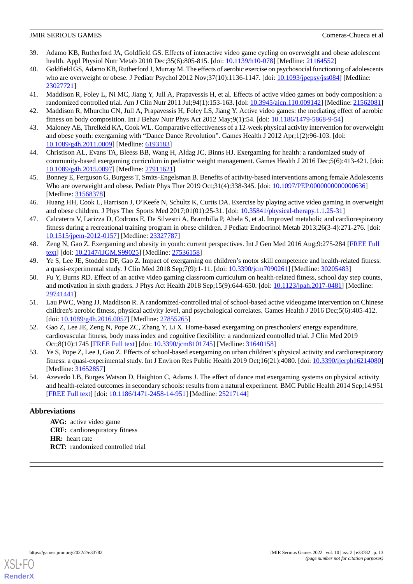- <span id="page-12-0"></span>39. Adamo KB, Rutherford JA, Goldfield GS. Effects of interactive video game cycling on overweight and obese adolescent health. Appl Physiol Nutr Metab 2010 Dec;35(6):805-815. [doi: [10.1139/h10-078\]](http://dx.doi.org/10.1139/h10-078) [Medline: [21164552\]](http://www.ncbi.nlm.nih.gov/entrez/query.fcgi?cmd=Retrieve&db=PubMed&list_uids=21164552&dopt=Abstract)
- <span id="page-12-1"></span>40. Goldfield GS, Adamo KB, Rutherford J, Murray M. The effects of aerobic exercise on psychosocial functioning of adolescents who are overweight or obese. J Pediatr Psychol 2012 Nov;37(10):1136-1147. [doi: [10.1093/jpepsy/jss084](http://dx.doi.org/10.1093/jpepsy/jss084)] [Medline: [23027721](http://www.ncbi.nlm.nih.gov/entrez/query.fcgi?cmd=Retrieve&db=PubMed&list_uids=23027721&dopt=Abstract)]
- <span id="page-12-3"></span><span id="page-12-2"></span>41. Maddison R, Foley L, Ni MC, Jiang Y, Jull A, Prapavessis H, et al. Effects of active video games on body composition: a randomized controlled trial. Am J Clin Nutr 2011 Jul;94(1):153-163. [doi: [10.3945/ajcn.110.009142\]](http://dx.doi.org/10.3945/ajcn.110.009142) [Medline: [21562081](http://www.ncbi.nlm.nih.gov/entrez/query.fcgi?cmd=Retrieve&db=PubMed&list_uids=21562081&dopt=Abstract)]
- <span id="page-12-4"></span>42. Maddison R, Mhurchu CN, Jull A, Prapavessis H, Foley LS, Jiang Y. Active video games: the mediating effect of aerobic fitness on body composition. Int J Behav Nutr Phys Act 2012 May;9(1):54. [doi: [10.1186/1479-5868-9-54\]](http://dx.doi.org/10.1186/1479-5868-9-54)
- <span id="page-12-5"></span>43. Maloney AE, Threlkeld KA, Cook WL. Comparative effectiveness of a 12-week physical activity intervention for overweight and obese youth: exergaming with "Dance Dance Revolution". Games Health J 2012 Apr;1(2):96-103. [doi: [10.1089/g4h.2011.0009\]](http://dx.doi.org/10.1089/g4h.2011.0009) [Medline: [6193183\]](http://www.ncbi.nlm.nih.gov/entrez/query.fcgi?cmd=Retrieve&db=PubMed&list_uids=6193183&dopt=Abstract)
- <span id="page-12-6"></span>44. Christison AL, Evans TA, Bleess BB, Wang H, Aldag JC, Binns HJ. Exergaming for health: a randomized study of community-based exergaming curriculum in pediatric weight management. Games Health J 2016 Dec;5(6):413-421. [doi: [10.1089/g4h.2015.0097\]](http://dx.doi.org/10.1089/g4h.2015.0097) [Medline: [27911621\]](http://www.ncbi.nlm.nih.gov/entrez/query.fcgi?cmd=Retrieve&db=PubMed&list_uids=27911621&dopt=Abstract)
- <span id="page-12-7"></span>45. Bonney E, Ferguson G, Burgess T, Smits-Engelsman B. Benefits of activity-based interventions among female Adolescents Who are overweight and obese. Pediatr Phys Ther 2019 Oct;31(4):338-345. [doi: [10.1097/PEP.0000000000000636\]](http://dx.doi.org/10.1097/PEP.0000000000000636) [Medline: [31568378](http://www.ncbi.nlm.nih.gov/entrez/query.fcgi?cmd=Retrieve&db=PubMed&list_uids=31568378&dopt=Abstract)]
- <span id="page-12-8"></span>46. Huang HH, Cook L, Harrison J, O'Keefe N, Schultz K, Curtis DA. Exercise by playing active video gaming in overweight and obese children. J Phys Ther Sports Med 2017;01(01):25-31. [doi: [10.35841/physical-therapy.1.1.25-31\]](http://dx.doi.org/10.35841/physical-therapy.1.1.25-31)
- <span id="page-12-9"></span>47. Calcaterra V, Larizza D, Codrons E, De Silvestri A, Brambilla P, Abela S, et al. Improved metabolic and cardiorespiratory fitness during a recreational training program in obese children. J Pediatr Endocrinol Metab 2013;26(3-4):271-276. [doi: [10.1515/jpem-2012-0157](http://dx.doi.org/10.1515/jpem-2012-0157)] [Medline: [23327787](http://www.ncbi.nlm.nih.gov/entrez/query.fcgi?cmd=Retrieve&db=PubMed&list_uids=23327787&dopt=Abstract)]
- <span id="page-12-10"></span>48. Zeng N, Gao Z. Exergaming and obesity in youth: current perspectives. Int J Gen Med 2016 Aug;9:275-284 [\[FREE Full](https://dx.doi.org/10.2147/IJGM.S99025) [text](https://dx.doi.org/10.2147/IJGM.S99025)] [doi: [10.2147/IJGM.S99025](http://dx.doi.org/10.2147/IJGM.S99025)] [Medline: [27536158](http://www.ncbi.nlm.nih.gov/entrez/query.fcgi?cmd=Retrieve&db=PubMed&list_uids=27536158&dopt=Abstract)]
- 49. Ye S, Lee JE, Stodden DF, Gao Z. Impact of exergaming on children's motor skill competence and health-related fitness: a quasi-experimental study. J Clin Med 2018 Sep;7(9):1-11. [doi: [10.3390/jcm7090261](http://dx.doi.org/10.3390/jcm7090261)] [Medline: [30205483\]](http://www.ncbi.nlm.nih.gov/entrez/query.fcgi?cmd=Retrieve&db=PubMed&list_uids=30205483&dopt=Abstract)
- <span id="page-12-11"></span>50. Fu Y, Burns RD. Effect of an active video gaming classroom curriculum on health-related fitness, school day step counts, and motivation in sixth graders. J Phys Act Health 2018 Sep;15(9):644-650. [doi: [10.1123/jpah.2017-0481\]](http://dx.doi.org/10.1123/jpah.2017-0481) [Medline: [29741441](http://www.ncbi.nlm.nih.gov/entrez/query.fcgi?cmd=Retrieve&db=PubMed&list_uids=29741441&dopt=Abstract)]
- <span id="page-12-12"></span>51. Lau PWC, Wang JJ, Maddison R. A randomized-controlled trial of school-based active videogame intervention on Chinese children's aerobic fitness, physical activity level, and psychological correlates. Games Health J 2016 Dec;5(6):405-412. [doi: [10.1089/g4h.2016.0057](http://dx.doi.org/10.1089/g4h.2016.0057)] [Medline: [27855265\]](http://www.ncbi.nlm.nih.gov/entrez/query.fcgi?cmd=Retrieve&db=PubMed&list_uids=27855265&dopt=Abstract)
- <span id="page-12-13"></span>52. Gao Z, Lee JE, Zeng N, Pope ZC, Zhang Y, Li X. Home-based exergaming on preschoolers' energy expenditure, cardiovascular fitness, body mass index and cognitive flexibility: a randomized controlled trial. J Clin Med 2019 Oct;8(10):1745 [\[FREE Full text](https://www.mdpi.com/resolver?pii=jcm8101745)] [doi: [10.3390/jcm8101745\]](http://dx.doi.org/10.3390/jcm8101745) [Medline: [31640158\]](http://www.ncbi.nlm.nih.gov/entrez/query.fcgi?cmd=Retrieve&db=PubMed&list_uids=31640158&dopt=Abstract)
- 53. Ye S, Pope Z, Lee J, Gao Z. Effects of school-based exergaming on urban children's physical activity and cardiorespiratory fitness: a quasi-experimental study. Int J Environ Res Public Health 2019 Oct;16(21):4080. [doi: [10.3390/ijerph16214080](http://dx.doi.org/10.3390/ijerph16214080)] [Medline: [31652857](http://www.ncbi.nlm.nih.gov/entrez/query.fcgi?cmd=Retrieve&db=PubMed&list_uids=31652857&dopt=Abstract)]
- 54. Azevedo LB, Burges Watson D, Haighton C, Adams J. The effect of dance mat exergaming systems on physical activity and health-related outcomes in secondary schools: results from a natural experiment. BMC Public Health 2014 Sep;14:951 [[FREE Full text](https://bmcpublichealth.biomedcentral.com/articles/10.1186/1471-2458-14-951)] [doi: [10.1186/1471-2458-14-951\]](http://dx.doi.org/10.1186/1471-2458-14-951) [Medline: [25217144\]](http://www.ncbi.nlm.nih.gov/entrez/query.fcgi?cmd=Retrieve&db=PubMed&list_uids=25217144&dopt=Abstract)

# **Abbreviations**

**AVG:** active video game **CRF:** cardiorespiratory fitness **HR:** heart rate **RCT:** randomized controlled trial